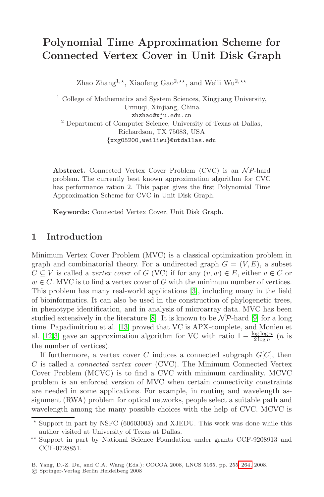# **Polynomial Time Approximation Scheme for Connected Vertex Cover in Unit Disk Graph**

Zhao Zhang<sup>1,\*</sup>, Xiaofeng Gao<sup>2,\*\*</sup>, and Weili Wu<sup>2,\*\*</sup>

<sup>1</sup> College of Mathematics and System Sciences, Xingjiang University, Urmuqi, Xinjiang, China zhzhao@xju.edu.cn <sup>2</sup> Department of Computer Science, University of Texas at Dallas, Richardson, TX 75083, USA {xxg05200,weiliwu}@utdallas.edu

**Abstract.** Connected Vertex Cover Problem (CVC) is an  $\mathcal{N}P$ -hard problem. The currently best known approximation algorithm for CVC has performance ration 2. This paper gives the first Polynomial Time Approximation Scheme for CVC in Unit Disk Graph.

**Keywords:** Connected Vertex Cover, Unit Disk Graph.

#### **1 Introduction**

Minimu[m V](#page-9-1)ertex [C](#page-8-0)over Problem (MVC) is a cl[ass](#page-9-0)ical optimization problem in graph and combinatorial theory. For a undirected graph  $G = (V, E)$ , a subset  $C \subseteq V$  is called a *vertex cover* of G (VC) if for any  $(v, w) \in E$ , either  $v \in C$  or  $w \in C$ . MVC is to find a vertex cover of G with the minimum number of vertices. This problem has many real-world applications [3], including many in the field of bioinformatics. It can also be used in the construction of phylogenetic trees, in phenotype identification, and in analysis of microarray data. MVC has been studied extensively in the literature [8]. It is known to be  $\mathcal{NP}$ -hard [9] for a long time. Papadimitriou et al. [13] proved that VC is APX-complete, and Monien et al. [12,3] gave an approximation algorithm for VC with ratio  $1 - \frac{\log \log n}{2 \log n}$  (*n* is the number of vertices).

If furthermore, a vertex cover C induces a connected subgraph  $G[C]$ , then C is called a connected vertex cover (CVC). The Minimum Connected Vertex Cover Problem (MCVC) is to find a CVC with minimum cardinality. MCVC problem is an enforced version of MVC when certain connectivity constraints are needed in some applications. For exam[ple,](#page-9-2) in routing and wavelength assignment (RWA) problem for optical networks, people select a suitable path and wavelength among the many possible choices with the help of CVC. MCVC is

 $\star$  Support in part by NSFC (60603003) and XJEDU. This work was done while this author visited at University of Texas at Dallas.

 $\star\star$  Support in part by National Science Foundation under grants CCF-9208913 and CCF-0728851.

B. Yang, D.-Z. Du, and C.A. Wang (Eds.): COCOA 2008, LNCS 5165, pp. 255–264, 2008.

<sup>-</sup>c Springer-Verlag Berlin Heidelberg 2008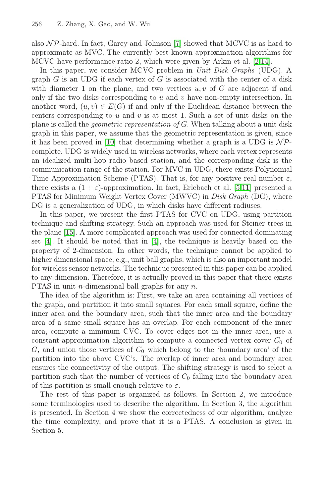#### 256 Z. Zhang, X. Gao, and W. Wu

also  $N\mathcal{P}$ -hard. In fact, Garey and Johnson [7] showed that MCVC is as hard to approximate as MVC. The currently best known approximation algorithms for MCVC have performance ratio 2, which were given by Arkin et al. [2,14].

I[n t](#page-9-3)his paper, we consider MCVC problem in Unit Disk Graphs (UDG). A graph  $G$  is an UDG if each vertex of  $G$  is associated with the center of a disk with diameter 1 on the plane, and two vertices  $u, v$  of G are adjacent if and only if the two disks corresponding to  $u$  and  $v$  have non-empty intersection. In another word,  $(u, v) \in E(G)$  if and only if the Euclidean distance between the centers corresponding to  $u$  and  $v$  is at mo[st](#page-8-1) [1.](#page-9-4) Such a set of unit disks on the plane is called the geometric representation of G. When talking about a unit disk graph in this paper, we assume that the geometric representation is given, since it has been proved in [10] that determining whether a graph is a UDG is  $N\mathcal{P}$ complete. UDG is widely used in wireless networks, where each vertex represents an idealized multi-hop radio based station, and the corresponding disk is the communication ra[ng](#page-8-2)e of the station. For MVC in UDG, there exists Polynomial Time Approximation Scheme (PTAS). That is, for any positive real number  $\varepsilon$ , there exists a  $(1 + \varepsilon)$ -approximation. In fact, Erlebach et al. [5,11] presented a PTAS for Minimum Weight Vertex Cover (MWVC) in *Disk Graph* (DG), where DG is a generalization of UDG, in which disks have different radiuses.

In this paper, we present the first PTAS for CVC on UDG, using partition technique and shifting strategy. Such an approach was used for Steiner trees in the plane [15]. A more complicated approach was used for connected dominating set [4]. It should be noted that in [4], the technique is heavily based on the property of 2-dimension. In other words, the technique cannot be applied to higher dimensional space, e.g., unit ball graphs, which is also an important model for wireless sensor networks. The technique presented in this paper can be applied to any dimension. Therefore, it is actually proved in this paper that there exists PTAS in unit *n*-dimensional ball graphs for any *n*.

The idea of the algorithm is: First, we take an area containing all vertices of the graph, and partition it into small squares. For each small square, define the inner area and the boundary area, such that the inner area and the boundary area of a same small square has an overlap. For each component of the inner area, compute a minimum CVC. To cover edges not in the inner area, use a constant-approximation algorithm to compute a connected vertex cover  $C_0$  of  $G$ , and union those vertices of  $C_0$  which belong to the 'boundary area' of the partition into the above CVC's. The overlap of inner area and boundary area ensures the connectivity of the output. The shifting strategy is used to select a partition such that the number of vertices of  $C_0$  falling into the boundary area of this partition is small enough relative to  $\varepsilon$ .

The rest of this paper is organized as follows. In Section 2, we introduce some terminologies used to describe the algorithm. In Section 3, the algorithm is presented. In Section 4 we show the correctedness of our algorithm, analyze the time complexity, and prove that it is a PTAS. A conclusion is given in Section 5.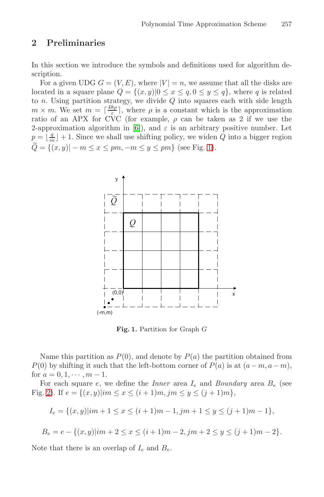#### **2 Preliminaries**

In this secti[on](#page-8-3) we introduce the symbols and definitions used for algorithm description.

For a given UDG  $G = (V, E)$ , w[he](#page-2-0)re  $|V| = n$ , we assume that all the disks are located in a square plane  $Q = \{(x, y) | 0 \le x \le q, 0 \le y \le q\}$ , where q is related to  $n$ . Using partition strategy, we divide  $Q$  into squares each with side length  $m \times m$ . We set  $m = \lceil \frac{48\rho}{\varepsilon} \rceil$ , where  $\rho$  is a constant which is the approximation ratio of an APX for CVC (for example,  $\rho$  can be taken as 2 if we use the 2-approximation algorithm in [6]), and  $\varepsilon$  is an arbitrary positive number. Let  $p = \lfloor \frac{q}{m} \rfloor + 1$ . Since we shall use shifting policy, we widen Q into a bigger region  $Q = \{(x, y) | -m \le x \le pm, -m \le y \le pm\}$  (see Fig. 1).



**Fig. 1.** Partition for Graph G

<span id="page-2-0"></span>Name this partition as  $P(0)$ , and denote by  $P(a)$  the partition obtained from  $P(0)$  by shifting it such that the left-bottom corner of  $P(a)$  is at  $(a-m, a-m)$ , for  $a = 0, 1, \cdots, m - 1$ .

For each square  $e$ , we define the *Inner* area  $I_e$  and *Boundary* area  $B_e$  (see Fig. 2). If  $e = \{(x, y)|im \le x \le (i + 1)m, jm \le y \le (j + 1)m\},\$ 

 $I_e = \{(x, y)|im + 1 \le x \le (i + 1)m - 1, jm + 1 \le y \le (j + 1)m - 1\},\$ 

 $B_e = e - \{(x, y) | im + 2 \le x \le (i + 1)m - 2, jm + 2 \le y \le (j + 1)m - 2\}.$ 

Note that there is an overlap of  $I_e$  and  $B_e$ .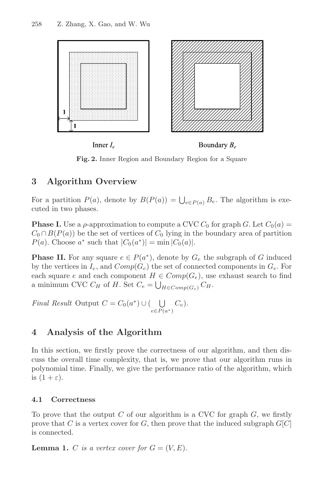

Boundary  $B_e$ Inner  $I_e$ 

**Fig. 2.** Inner Region and Boundary Region for a Square

# **3 Algorithm Overview**

For a partition  $P(a)$ , denote by  $B(P(a)) = \bigcup_{e \in P(a)} B_e$ . The algorithm is executed in two phases.

**Phase I.** Use a  $\rho$ -approximation to compute a CVC  $C_0$  for graph  $G$ . Let  $C_0(a)$  =  $C_0 \cap B(P(a))$  be the set of vertices of  $C_0$  lying in the boundary area of partition  $P(a)$ . Choose  $a^*$  such that  $|C_0(a^*)| = \min |C_0(a)|$ .

**Phase II.** For any square  $e \in P(a^*)$ , denote by  $G_e$  the subgraph of G induced by the vertices in  $I_e$ , and  $Comp(G_e)$  the set of connected components in  $G_e$ . For each square e and each component  $H \in Comp(G_e)$ , use exhaust search to find a minimum CVC  $C_H$  of H. Set  $C_e = \bigcup_{H \in Comp(G_e)} C_H$ .

Final Result Output  $C = C_0(a^*) \cup (\bigcup C_e)$ .  $e \in P(a^*)$ 

## **4 Analysis of the Algorithm**

In this section, we firstly prove the correctness of our algorithm, and then discuss the overall time complexity, that is, we prove that our algorithm runs in polynomial time. Finally, we give the performance ratio of the algorithm, which is  $(1+\varepsilon)$ .

#### **4.1 Correctness**

To prove that the output  $C$  of our algorithm is a CVC for graph  $G$ , we firstly prove that C is a vertex cover for G, then prove that the induced subgraph  $G[C]$ is connected.

**Lemma 1.** C is a vertex cover for  $G = (V, E)$ .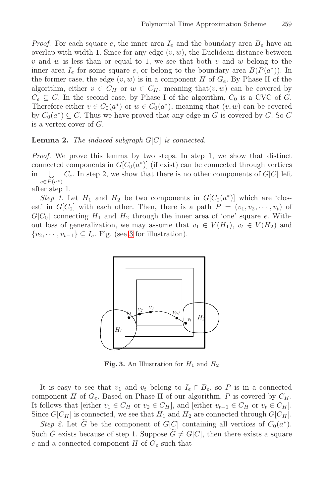*Proof.* For each square e, the inner area  $I_e$  and the boundary area  $B_e$  have an overlap with width 1. Since for any edge  $(v, w)$ , the Euclidean distance between  $v$  and  $w$  is less than or equal to 1, we see that both  $v$  and  $w$  belong to the inner area  $I_e$  for some square e, or belong to the boundary area  $B(P(a^*))$ . In the former case, the edge  $(v, w)$  is in a component H of  $G_e$ . By Phase II of the algorithm, either  $v \in C_H$  or  $w \in C_H$ , meaning that $(v, w)$  can be covered by  $C_e \subseteq C$ . In the second case, by Phase I of the algorithm,  $C_0$  is a CVC of G. Therefore either  $v \in C_0(a^*)$  or  $w \in C_0(a^*)$ , meaning that  $(v, w)$  can be covered by  $C_0(a^*) \subseteq C$ . Thus we have proved that any edge in G is covered by C. So C is a vertex cover of G.

#### **Lemma 2.** The induced subgraph  $G[C]$  is connected.

Proof. We prove this lemma by two steps. In step 1, we show that distinct [co](#page-4-0)nnected components in  $G[C_0(a^*)]$  (if exist) can be connected through vertices in  $\bigcup$   $C_e$ . In step 2, we show that there is no other components of  $G[C]$  left  $e \in P(a^*)$ 

after step 1.

Step 1. Let  $H_1$  and  $H_2$  be two components in  $G[C_0(a^*)]$  which are 'closest' in  $G[C_0]$  with each other. Then, there is a path  $P = (v_1, v_2, \dots, v_t)$  of  $G[C_0]$  connecting  $H_1$  and  $H_2$  through the inner area of 'one' square e. Without loss of generalization, we may assume that  $v_1 \in V(H_1)$ ,  $v_t \in V(H_2)$  and  $\{v_2, \dots, v_{t-1}\} \subseteq I_e$ . Fig. (see 3 for illustration).



**Fig. 3.** An Illustration for  $H_1$  and  $H_2$ 

<span id="page-4-0"></span>It is easy to see that  $v_1$  and  $v_t$  belong to  $I_e \cap B_e$ , so P is in a connected component H of  $G_e$ . Based on Phase II of our algorithm, P is covered by  $C_H$ . It follows that [either  $v_1 \in C_H$  or  $v_2 \in C_H$ ], and [either  $v_{t-1} \in C_H$  or  $v_t \in C_H$ ]. Since  $G[C_H]$  is connected, we see that  $H_1$  and  $H_2$  are connected through  $G[C_H]$ .

Step 2. Let G-be the component of  $G[C]$  containing all vertices of  $C_0(a^*)$ . Such  $\tilde{G}$  exists because of step 1. Suppose  $\tilde{G} \neq G[C]$ , then there exists a square e and a connected component  $H$  of  $G_e$  such that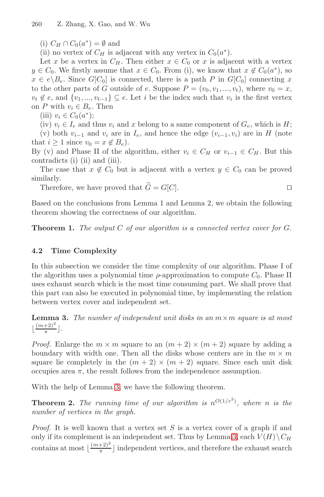260 Z. Zhang, X. Gao, and W. Wu

(i)  $C_H \cap C_0(a^*) = \emptyset$  and

(ii) no vertex of  $C_H$  is adjacent with any vertex in  $C_0(a^*)$ .

Let x be a vertex in  $C_H$ . Then either  $x \in C_0$  or x is adjacent with a vertex  $y \in C_0$ . We firstly assume that  $x \in C_0$ . From (i), we know that  $x \notin C_0(a^*)$ , so  $x \in e \backslash B_e$ . Since  $G[C_0]$  is connected, there is a path P in  $G[C_0]$  connecting x to the other parts of G outside of e. Suppose  $P = (v_0, v_1, ..., v_t)$ , where  $v_0 = x$ ,  $v_t \notin e$ , and  $\{v_1, ..., v_{t-1}\} \subseteq e$ . Let i be the index such that  $v_i$  is the first vertex on P with  $v_i \in B_e$ . Then

(iii)  $v_i \in C_0(a^*)$ ;

(iv)  $v_i \in I_e$  and thus  $v_i$  and x belong to a same component of  $G_e$ , which is H; (v) both  $v_{i-1}$  and  $v_i$  are in  $I_e$ , and hence the edge  $(v_{i-1}, v_i)$  are in H (note that  $i \geq 1$  since  $v_0 = x \notin B_e$ ).

By (v) and Phase II of the algorithm, either  $v_i \in C_H$  or  $v_{i-1} \in C_H$ . But this contradicts (i) (ii) and (iii).

The case that  $x \notin C_0$  but is adjacent with a vertex  $y \in C_0$  can be proved similarly.

Therefore, we have proved that  $G = G[C]$ .

Based on the conclusions from Lemma 1 and Lemma 2, we obtain the following theorem showing the correctness of our algorithm.

<span id="page-5-0"></span>**Theorem 1.** The output C of our algorithm is a connected vertex cover for G.

#### **4.2 Time Complexity**

In this subsection we consider the time complexity of our algorithm. Phase I of the algorithm uses a polynomial time  $\rho$ -approximation to compute  $C_0$ . Phase II uses exhaust search which is the most time consuming part. We shall prove that this part can also be executed in polynomial time, by implementing the relation between vertex cover and independent set.

**Lem[ma](#page-5-0) 3.** The number of independent unit disks in an  $m \times m$  square is at most  $\lfloor \frac{(m+2)^2}{\pi} \rfloor$ .

*Proof.* Enlarge the  $m \times m$  square to an  $(m+2) \times (m+2)$  square by adding a boundary with width one. Then all the disks whose centers are in the  $m \times m$ square lie completely in the  $(m + 2) \times (m + 2)$  square. Since each unit disk occupies area  $\pi$ , t[he](#page-5-0) result follows from the independence assumption.

With the help of Lemma 3, we have the following theorem.

**Theorem 2.** The running time of our algorithm is  $n^{O(1/\varepsilon^2)}$ , where n is the number of vertices in the graph.

*Proof.* It is well known that a vertex set  $S$  is a vertex cover of a graph if and only if its complement is an independent set. Thus by Lemma 3, each  $V(H)\setminus C_H$ contains at most  $\lfloor \frac{(m+2)^2}{\pi} \rfloor$  independent vertices, and therefore the exhaust search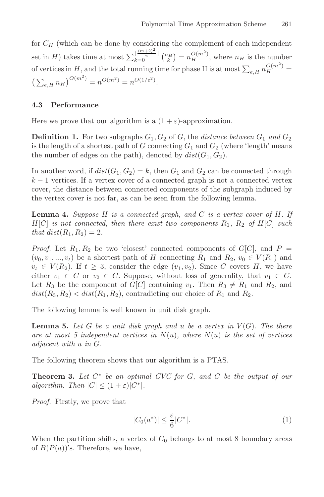for  $C_H$  (which can be done by considering the complement of each independent set in H) takes time at most  $\sum_{k=0}^{\lfloor \frac{(m+2)^2}{n} \rfloor} {n_H \choose k} = n_H^{O(m^2)}$ , where  $n_H$  is the number of vertices in H, and the total running time for phase II is at most  $\sum_{e,H} n_H^{O(m^2)}$  =  $\left(\sum_{e,H} n_H\right)^{O(m^2)} = n^{O(m^2)} = n^{O(1/\varepsilon^2)}.$ 

#### **4.3 Performance**

Here we prove that our algorithm is a  $(1 + \varepsilon)$ -approximation.

**Definition 1.** For two subgraphs  $G_1, G_2$  of G, the distance between  $G_1$  and  $G_2$ is the length of a shortest path of  $G$  connecting  $G_1$  and  $G_2$  (where 'length' means the number of edges on the path), denoted by  $dist(G_1, G_2)$ .

In another word, if  $dist(G_1, G_2) = k$ , then  $G_1$  and  $G_2$  can be connected through  $k-1$  vertices. If a vertex cover of a connected graph is not a connected vertex cover, the distance between connected components of the subgraph induced by the vertex cover is not far, as can be seen from the following lemma.

<span id="page-6-0"></span>Lemma 4. Suppose H is a connected graph, and C is a vertex cover of H. If  $H[C]$  is not connected, then there exist two components  $R_1$ ,  $R_2$  of  $H[C]$  such that  $dist(R_1, R_2)=2$ .

*Proof.* Let  $R_1, R_2$  be two 'closest' connected components of  $G[C]$ , and  $P =$  $(v_0, v_1, ..., v_t)$  be a shortest path of H connecting  $R_1$  and  $R_2, v_0 \in V(R_1)$  and  $v_t \in V(R_2)$ . If  $t \geq 3$ , consider the edge  $(v_1, v_2)$ . Since C covers H, we have either  $v_1 \in C$  or  $v_2 \in C$ . Suppose, without loss of generality, that  $v_1 \in C$ . Let  $R_3$  be the component of  $G[C]$  containing  $v_1$ . Then  $R_3 \neq R_1$  and  $R_2$ , and  $dist(R_3, R_2) < dist(R_1, R_2)$ , contradicting our choice of  $R_1$  and  $R_2$ .

The following lemma is well known in unit disk graph.

**Lemma 5.** Let G be a unit disk graph and u be a vertex in  $V(G)$ . The there are at most 5 independent vertices in  $N(u)$ , where  $N(u)$  is the set of vertices adjacent with u in G.

The following theorem shows that our algorithm is a PTAS.

**Theorem 3.** Let  $C^*$  be an optimal CVC for  $G$ , and  $C$  be the output of our algorithm. Then  $|C| \leq (1+\varepsilon)|C^*|$ .

Proof. Firstly, we prove that

$$
|C_0(a^*)| \le \frac{\varepsilon}{6} |C^*|.\tag{1}
$$

When the partition shifts, a vertex of  $C_0$  belongs to at most 8 boundary areas of  $B(P(a))$ 's. Therefore, we have,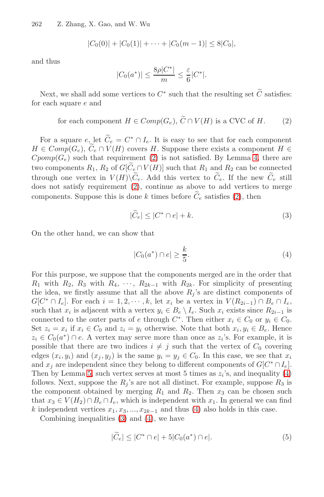<span id="page-7-0"></span>262 Z. Zhang, X. Gao, and W. Wu

$$
|C_0(0)|+|C_0(1)|+\cdots+|C_0(m-1)|\leq 8|C_0|,
$$

and thus

<span id="page-7-2"></span>
$$
|C_0(a^*)| \le \frac{8\rho|C^*|}{m} \le \frac{\varepsilon}{6}|C^*|.
$$

Next, we shall [ad](#page-7-0)d some vertices to  $C^*$  such t[ha](#page-6-0)t the resulting set C satisfies: for each square e and

for each component 
$$
H \in Comp(G_e)
$$
,  $C \cap V(H)$  is a CVC of H. (2)

<span id="page-7-1"></span>For a square  $e$ , let  $C_e = C^* \cap I_e$ . It is easy to see that for each component  $U \subseteq C$  comp $(C \cap \widetilde{C} \cap V(H))$  covers  $U$ . Suppose there exists a component  $U \subseteq C$  $H \in Comp(G_e), C_e \cap V(H)$  covers H. Suppose there exists a component  $H \in Comp(G)$  and there are  $Cpomp(G_e)$  such that requirement (2) is not satisfied. By Lemma 4, there are two components  $R_1, R_2$  of  $G[C_e \cap V(H)]$  such that  $R_1$  and  $R_2$  can be connected through one vertex in  $V(H)\backslash C_e$ . Add this vertex to  $C_e$ . If the new  $C_e$  still<br>deep not estight negations on (2) equations as above to add vertices to manage does not satisfy requirement (2), continue as above to add vertices to merge components. Suppose this is done k times before  $C_e$  satisfies (2), then

$$
|\widetilde{C}_e| \le |C^* \cap e| + k. \tag{3}
$$

On the other hand, we can show that

$$
|C_0(a^*) \cap e| \ge \frac{k}{5}.\tag{4}
$$

For this purpose, we suppose that the components merged are in the order that  $R_1$  with  $R_2$ ,  $R_3$  with  $R_4$ ,  $\cdots$ ,  $R_{2k-1}$  with  $R_{2k}$ . For simplicity of presenting the idea, we firstly assume that all the above  $R_j$ 's are distinct components of  $G[C^* \cap I_e]$ . For each  $i = 1, 2, \cdots, k$ , let  $x_i$  be a vertex in  $V(R_{2i-1}) \cap B_e \cap I_e$  $V(R_{2i-1}) \cap B_e \cap I_e$ , such that  $x_i$  is adjacent with a vertex  $y_i \in B_e \setminus I_e$ . Such  $x_i$  exists since  $R_{2i-1}$  is connected to the outer parts of e through  $C^*$ . Then either  $x_i \in C_0$  or  $y_i \in C_0$ . Set  $z_i = x_i$  if  $x_i \in C_0$  and  $z_i = y_i$  otherwise. Note that both  $x_i, y_i \in B_e$ . Hence  $z_i \in C_0(a^*) \cap e$ . A vertex ma[y s](#page-7-1)erve more than once as  $z_i$ 's. For example, it is possible [t](#page-7-2)hat t[her](#page-7-1)e are two indices  $i \neq j$  such that the vertex of  $C_0$  covering edges  $(x_i, y_i)$  and  $(x_j, y_j)$  is the same  $y_i = y_j \in C_0$ . In this case, we see that  $x_i$ and  $x_i$  are independent since they belong to different components of  $G[C^* \cap I_e]$ . Then by Lemma 5, such vertex serves at most 5 times as  $z_i$ 's, and inequality (4) follows. Next, suppose the  $R_i$ 's are not all distinct. For example, suppose  $R_3$  is the component obtained by merging  $R_1$  and  $R_2$ . Then  $x_3$  can be chosen such that  $x_3 \in V(H_2) \cap B_e \cap I_e$ , which is independent with  $x_1$ . In general we can find k independent vertices  $x_1, x_3, ..., x_{2k-1}$  and thus (4) also holds in this case.

Combining inequalities (3) and (4), we have

$$
|\widetilde{C}_e| \le |C^* \cap e| + 5|C_0(a^*) \cap e|.
$$
 (5)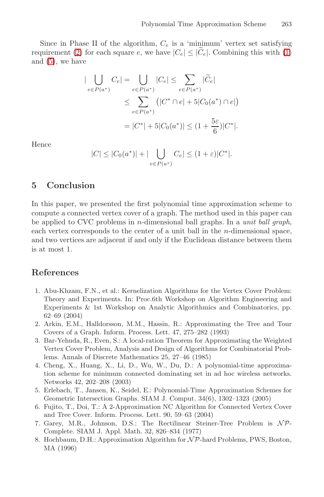Since in Phase II of the algorithm,  $C_e$  is a 'minimum' vertex set satisfying requirement (2) for each square e, we have  $|C_e| \leq |C_e|$ . Combining this with (1) and (5), we have

$$
\begin{aligned} |\bigcup_{e \in P(a^*)} C_e| &= \bigcup_{e \in P(a^*)} |C_e| \le \sum_{e \in P(a^*)} |\widetilde{C}_e| \\ &\le \sum_{e \in P(a^*)} \left( |C^* \cap e| + 5|C_0(a^*) \cap e| \right) \\ &= |C^*| + 5|C_0(a^*)| \le (1 + \frac{5\varepsilon}{6})|C^*|. \end{aligned}
$$

Hence

$$
|C| \leq |C_0(a^*)| + |\bigcup_{e \in P(a^*)} C_e| \leq (1+\varepsilon)|C^*|.
$$

### **5 Conclusion**

In this paper, we presented the first polynomial time approximation scheme to compute a connected vertex cover of a graph. The method used in this paper can be applied to CVC problems in *n*-dimensional ball graphs. In a *unit ball graph*, each vertex corresponds to the center of a unit ball in the n-dimensional space, and two vertices are adjacent if and only if the Euclidean distance between them is at most 1.

### <span id="page-8-2"></span>**References**

- 1. Abu-Khzam, F.N., et al.: Kernelization Algorithms for the Vertex Cover Problem: Theory and Experiments. In: Proc.6th Workshop on Algorithm Engineering and Experiments & 1st Workshop on Analytic Algorithmics and Combinatorics, pp. 62–69 (2004)
- <span id="page-8-3"></span><span id="page-8-1"></span>2. Arkin, E.M., Halldorsson, M.M., Hassin, R.: Approximating the Tree and Tour Covers of a Graph. Inform. Process. Lett. 47, 275–282 (1993)
- 3. Bar-Yehuda, R., Even, S.: A local-ration Theorem for Approximating the Weighted Vertex Cover Problem, Analysis and Design of Algorithms for Combinatorial Problems. Annals of Discrete Mathematics 25, 27–46 (1985)
- <span id="page-8-0"></span>4. Cheng, X., Huang, X., Li, D., Wu, W., Du, D.: A polynomial-time approximation scheme for minimum connected dominating set in ad hoc wireless networks. Networks 42, 202–208 (2003)
- 5. Erlebach, T., Jansen, K., Seidel, E.: Polynomial-Time Approximation Schemes for Geometric Intersection Graphs. SIAM J. Comput. 34(6), 1302–1323 (2005)
- 6. Fujito, T., Doi, T.: A 2-Approximation NC Algorithm for Connected Vertex Cover and Tree Cover. Inform. Process. Lett. 90, 59–63 (2004)
- 7. Garey, M.R., Johnson, D.S.: The Rectilinear Steiner-Tree Problem is NP-Complete. SIAM J. Appl. Math. 32, 826–834 (1977)
- 8. Hochbaum, D.H.: Approximation Algorithm for  $\mathcal{NP}$ -hard Problems, PWS, Boston, MA (1996)